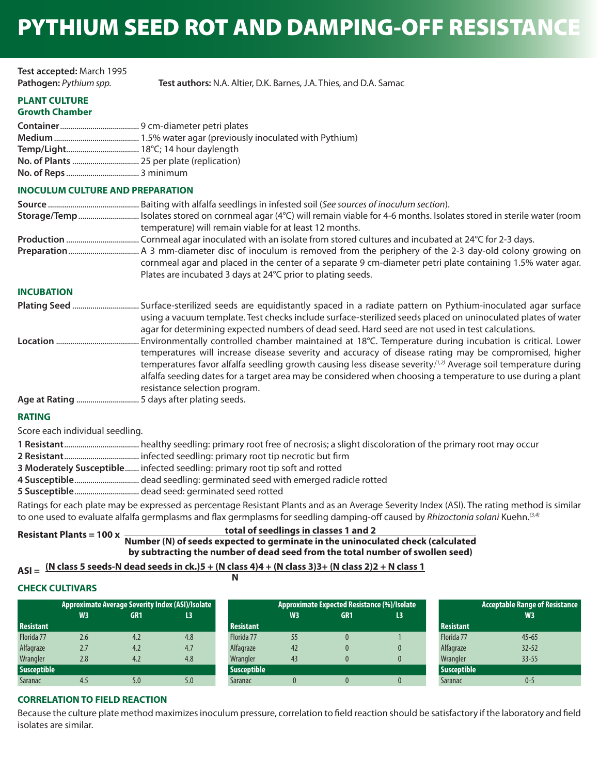# PYTHIUM SEED ROT AND DAMPING-OFF RESISTANCE

| Test accepted: March 1995 |                                                                    |
|---------------------------|--------------------------------------------------------------------|
| Pathogen: Pythium spp.    | Test authors: N.A. Altier, D.K. Barnes, J.A. Thies, and D.A. Samac |

#### **PLANT CULTURE Growth Chamber**

# **INOCULUM CULTURE AND PREPARATION**

| temperature) will remain viable for at least 12 months.                                                    |
|------------------------------------------------------------------------------------------------------------|
|                                                                                                            |
|                                                                                                            |
| cornmeal agar and placed in the center of a separate 9 cm-diameter petri plate containing 1.5% water agar. |
| Plates are incubated 3 days at 24°C prior to plating seeds.                                                |

# **INCUBATION**

| using a vacuum template. Test checks include surface-sterilized seeds placed on uninoculated plates of water |
|--------------------------------------------------------------------------------------------------------------|
| agar for determining expected numbers of dead seed. Hard seed are not used in test calculations.             |

**Location** ......................................... Environmentally controlled chamber maintained at 18°C. Temperature during incubation is critical. Lower temperatures will increase disease severity and accuracy of disease rating may be compromised, higher temperatures favor alfalfa seedling growth causing less disease severity.*(1,2)* Average soil temperature during alfalfa seeding dates for a target area may be considered when choosing a temperature to use during a plant resistance selection program.

**Age at Rating** ............................... 5 days after plating seeds.

# **RATING**

Score each individual seedling.

- **1 Resistant** ..................................... healthy seedling: primary root free of necrosis; a slight discoloration of the primary root may occur
- **2 Resistant** ..................................... infected seedling: primary root tip necrotic but firm
- **3 Moderately Susceptible** ....... infected seedling: primary root tip soft and rotted
- **4 Susceptible** ................................ dead seedling: germinated seed with emerged radicle rotted
- **5 Susceptible** ................................ dead seed: germinated seed rotted

Ratings for each plate may be expressed as percentage Resistant Plants and as an Average Severity Index (ASI). The rating method is similar to one used to evaluate alfalfa germplasms and flax germplasms for seedling damping-off caused by *Rhizoctonia solani* Kuehn.*(3,4)*

# **total of seedlings in classes 1 and 2**

**Resistant Plants = 100 x Number (N) of seeds expected to germinate in the uninoculated check (calculated by subtracting the number of dead seed from the total number of swollen seed)**

#### **ASI = (N class 5 seeds-N dead seeds in ck.)5 + (N class 4)4 + (N class 3)3+ (N class 2)2 + N class 1 N**

# **CHECK CULTIVARS**

|                    | Approximate Average Severity Index (ASI)/Isolate |     |     |                    | Approximate Expected Resistance (%)/Isolate |                 |     |                    | <b>Acceptable Range of Resistance</b> |
|--------------------|--------------------------------------------------|-----|-----|--------------------|---------------------------------------------|-----------------|-----|--------------------|---------------------------------------|
|                    | W <sub>3</sub>                                   | GR1 | L3  |                    | W <sub>3</sub>                              | GR <sub>1</sub> | L3. |                    | W3                                    |
| <b>Resistant</b>   |                                                  |     |     | <b>Resistant</b>   |                                             |                 |     | <b>Resistant</b>   |                                       |
| Florida 77         | 2.6                                              | 4.2 | 4.8 | Florida 77         | 55                                          |                 |     | Florida 77         | $45 - 65$                             |
| Alfagraze          | 2.7                                              | 4.2 | 4.7 | Alfagraze          | 42                                          |                 |     | Alfagraze          | $32 - 52$                             |
| Wrangler           | 2.8                                              | 4.2 | 4.8 | Wrangler           | 43                                          |                 |     | Wrangler           | $33 - 55$                             |
| <b>Susceptible</b> |                                                  |     |     | <b>Susceptible</b> |                                             |                 |     | <b>Susceptible</b> |                                       |
| <b>Saranac</b>     | 4.5                                              | 5.0 | 5.0 | Saranac            |                                             |                 |     | Saranac            | $0 - 5$                               |

# **CORRELATION TO FIELD REACTION**

Because the culture plate method maximizes inoculum pressure, correlation to field reaction should be satisfactory if the laboratory and field isolates are similar.